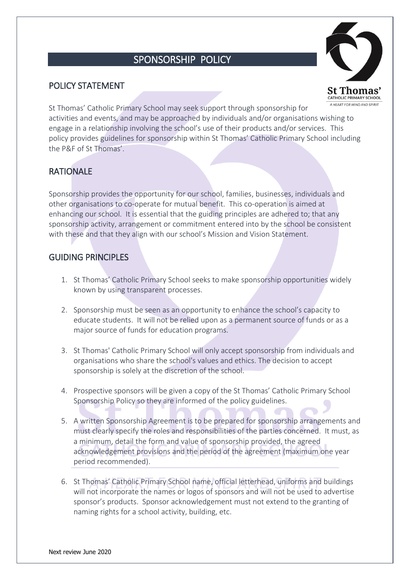### SPONSORSHIP POLICY

#### POLICY STATEMENT



St Thomas' Catholic Primary School may seek support through sponsorship for activities and events, and may be approached by individuals and/or organisations wishing to engage in a relationship involving the school's use of their products and/or services. This policy provides guidelines for sponsorship within St Thomas' Catholic Primary School including the P&F of St Thomas'.

#### **RATIONALE**

Sponsorship provides the opportunity for our school, families, businesses, individuals and other organisations to co-operate for mutual benefit. This co-operation is aimed at enhancing our school. It is essential that the guiding principles are adhered to; that any sponsorship activity, arrangement or commitment entered into by the school be consistent with these and that they align with our school's Mission and Vision Statement.

#### **GUIDING PRINCIPLES**

- 1. St Thomas' Catholic Primary School seeks to make sponsorship opportunities widely known by using transparent processes.
- 2. Sponsorship must be seen as an opportunity to enhance the school's capacity to educate students. It will not be relied upon as a permanent source of funds or as a major source of funds for education programs.
- 3. St Thomas' Catholic Primary School will only accept sponsorship from individuals and organisations who share the school's values and ethics. The decision to accept sponsorship is solely at the discretion of the school.
- 4. Prospective sponsors will be given a copy of the St Thomas' Catholic Primary School Sponsorship Policy so they are informed of the policy guidelines.
- 5. A written Sponsorship Agreement is to be prepared for sponsorship arrangements and must clearly specify the roles and responsibilities of the parties concerned. It must, as a minimum, detail the form and value of sponsorship provided, the agreed acknowledgement provisions and the period of the agreement (maximum one year period recommended).
- 6. St Thomas' Catholic Primary School name, official letterhead, uniforms and buildings will not incorporate the names or logos of sponsors and will not be used to advertise sponsor's products. Sponsor acknowledgement must not extend to the granting of naming rights for a school activity, building, etc.